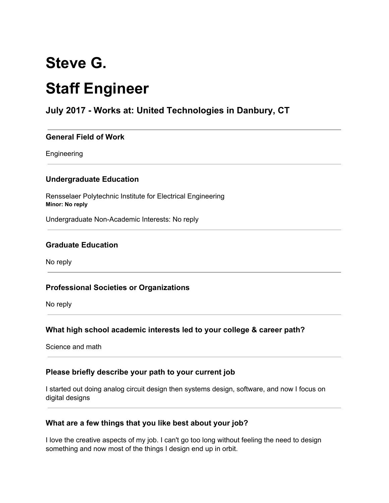# **Steve G. Staff Engineer**

# **July 2017 - Works at: United Technologies in Danbury, CT**

#### **General Field of Work**

Engineering

#### **Undergraduate Education**

Rensselaer Polytechnic Institute for Electrical Engineering **Minor: No reply**

Undergraduate Non-Academic Interests: No reply

#### **Graduate Education**

No reply

#### **Professional Societies or Organizations**

No reply

#### **What high school academic interests led to your college & career path?**

Science and math

#### **Please briefly describe your path to your current job**

I started out doing analog circuit design then systems design, software, and now I focus on digital designs

#### **What are a few things that you like best about your job?**

I love the creative aspects of my job. I can't go too long without feeling the need to design something and now most of the things I design end up in orbit.